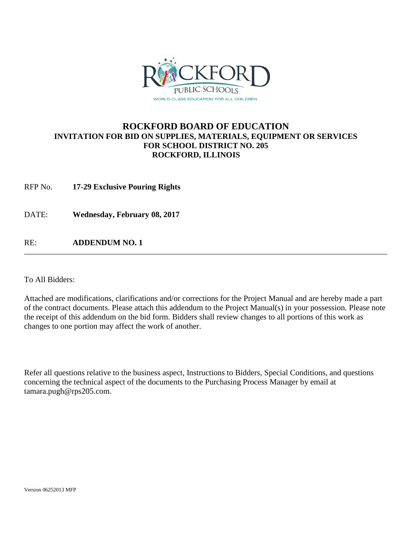

## **ROCKFORD BOARD OF EDUCATION INVITATION FOR BID ON SUPPLIES, MATERIALS, EQUIPMENT OR SERVICES FOR SCHOOL DISTRICT NO. 205 ROCKFORD, ILLINOIS**

RFP No. **17-29 Exclusive Pouring Rights**

DATE: **Wednesday, February 08, 2017**

RE: **ADDENDUM NO. 1**

To All Bidders:

Attached are modifications, clarifications and/or corrections for the Project Manual and are hereby made a part of the contract documents. Please attach this addendum to the Project Manual(s) in your possession. Please note the receipt of this addendum on the bid form. Bidders shall review changes to all portions of this work as changes to one portion may affect the work of another.

Refer all questions relative to the business aspect, Instructions to Bidders, Special Conditions, and questions concerning the technical aspect of the documents to the Purchasing Process Manager by email at tamara.pugh@rps205.com.